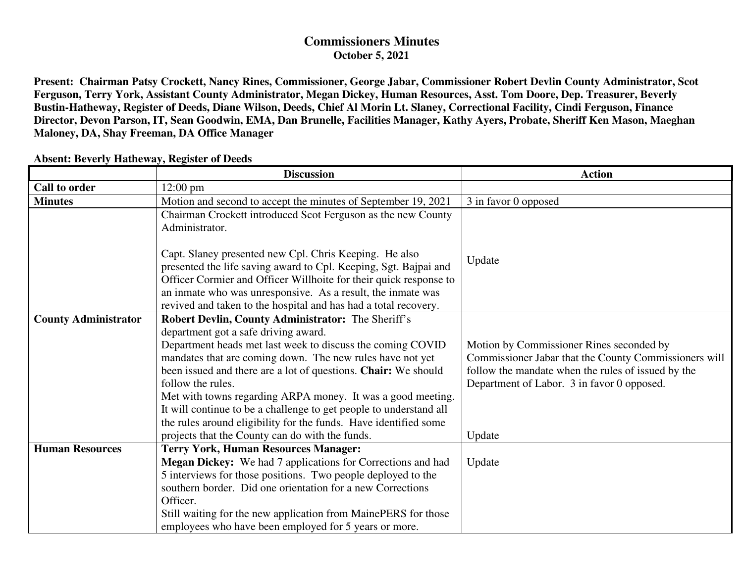## **Commissioners Minutes October 5, 2021**

**Present: Chairman Patsy Crockett, Nancy Rines, Commissioner, George Jabar, Commissioner Robert Devlin County Administrator, Scot Ferguson, Terry York, Assistant County Administrator, Megan Dickey, Human Resources, Asst. Tom Doore, Dep. Treasurer, Beverly Bustin-Hatheway, Register of Deeds, Diane Wilson, Deeds, Chief Al Morin Lt. Slaney, Correctional Facility, Cindi Ferguson, Finance Director, Devon Parson, IT, Sean Goodwin, EMA, Dan Brunelle, Facilities Manager, Kathy Ayers, Probate, Sheriff Ken Mason, Maeghan Maloney, DA, Shay Freeman, DA Office Manager** 

|                             | <b>Discussion</b>                                                  | <b>Action</b>                                         |
|-----------------------------|--------------------------------------------------------------------|-------------------------------------------------------|
| <b>Call to order</b>        | $12:00 \text{ pm}$                                                 |                                                       |
| <b>Minutes</b>              | Motion and second to accept the minutes of September 19, 2021      | 3 in favor 0 opposed                                  |
|                             | Chairman Crockett introduced Scot Ferguson as the new County       |                                                       |
|                             | Administrator.                                                     |                                                       |
|                             |                                                                    |                                                       |
|                             | Capt. Slaney presented new Cpl. Chris Keeping. He also             | Update                                                |
|                             | presented the life saving award to Cpl. Keeping, Sgt. Bajpai and   |                                                       |
|                             | Officer Cormier and Officer Willhoite for their quick response to  |                                                       |
|                             | an inmate who was unresponsive. As a result, the inmate was        |                                                       |
|                             | revived and taken to the hospital and has had a total recovery.    |                                                       |
| <b>County Administrator</b> | <b>Robert Devlin, County Administrator:</b> The Sheriff's          |                                                       |
|                             | department got a safe driving award.                               |                                                       |
|                             | Department heads met last week to discuss the coming COVID         | Motion by Commissioner Rines seconded by              |
|                             | mandates that are coming down. The new rules have not yet          | Commissioner Jabar that the County Commissioners will |
|                             | been issued and there are a lot of questions. Chair: We should     | follow the mandate when the rules of issued by the    |
|                             | follow the rules.                                                  | Department of Labor. 3 in favor 0 opposed.            |
|                             | Met with towns regarding ARPA money. It was a good meeting.        |                                                       |
|                             | It will continue to be a challenge to get people to understand all |                                                       |
|                             | the rules around eligibility for the funds. Have identified some   |                                                       |
|                             | projects that the County can do with the funds.                    | Update                                                |
| <b>Human Resources</b>      | <b>Terry York, Human Resources Manager:</b>                        |                                                       |
|                             | Megan Dickey: We had 7 applications for Corrections and had        | Update                                                |
|                             | 5 interviews for those positions. Two people deployed to the       |                                                       |
|                             | southern border. Did one orientation for a new Corrections         |                                                       |
|                             | Officer.                                                           |                                                       |
|                             | Still waiting for the new application from MainePERS for those     |                                                       |
|                             | employees who have been employed for 5 years or more.              |                                                       |

## **Absent: Beverly Hatheway, Register of Deeds**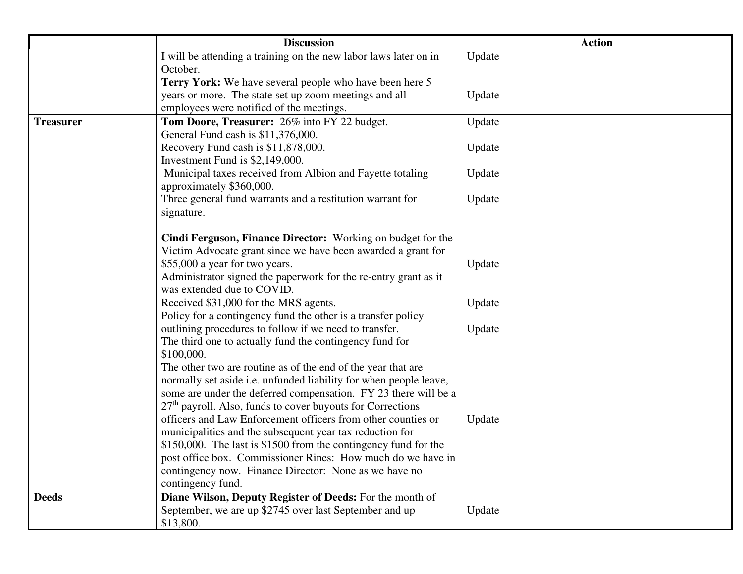|                  | <b>Discussion</b>                                                                                                      | <b>Action</b> |
|------------------|------------------------------------------------------------------------------------------------------------------------|---------------|
|                  | I will be attending a training on the new labor laws later on in                                                       | Update        |
|                  | October.                                                                                                               |               |
|                  | Terry York: We have several people who have been here 5                                                                |               |
|                  | years or more. The state set up zoom meetings and all                                                                  | Update        |
|                  | employees were notified of the meetings.                                                                               |               |
| <b>Treasurer</b> | Tom Doore, Treasurer: 26% into FY 22 budget.                                                                           | Update        |
|                  | General Fund cash is \$11,376,000.<br>Recovery Fund cash is \$11,878,000.                                              | Update        |
|                  | Investment Fund is \$2,149,000.                                                                                        |               |
|                  | Municipal taxes received from Albion and Fayette totaling                                                              | Update        |
|                  | approximately \$360,000.                                                                                               |               |
|                  | Three general fund warrants and a restitution warrant for                                                              | Update        |
|                  | signature.                                                                                                             |               |
|                  |                                                                                                                        |               |
|                  | Cindi Ferguson, Finance Director: Working on budget for the                                                            |               |
|                  | Victim Advocate grant since we have been awarded a grant for                                                           |               |
|                  | \$55,000 a year for two years.                                                                                         | Update        |
|                  | Administrator signed the paperwork for the re-entry grant as it                                                        |               |
|                  | was extended due to COVID.                                                                                             |               |
|                  | Received \$31,000 for the MRS agents.                                                                                  | Update        |
|                  | Policy for a contingency fund the other is a transfer policy<br>outlining procedures to follow if we need to transfer. | Update        |
|                  | The third one to actually fund the contingency fund for                                                                |               |
|                  | \$100,000.                                                                                                             |               |
|                  | The other two are routine as of the end of the year that are                                                           |               |
|                  | normally set aside i.e. unfunded liability for when people leave,                                                      |               |
|                  | some are under the deferred compensation. FY 23 there will be a                                                        |               |
|                  | 27 <sup>th</sup> payroll. Also, funds to cover buyouts for Corrections                                                 |               |
|                  | officers and Law Enforcement officers from other counties or                                                           | Update        |
|                  | municipalities and the subsequent year tax reduction for                                                               |               |
|                  | \$150,000. The last is \$1500 from the contingency fund for the                                                        |               |
|                  | post office box. Commissioner Rines: How much do we have in                                                            |               |
|                  | contingency now. Finance Director: None as we have no                                                                  |               |
|                  | contingency fund.                                                                                                      |               |
| <b>Deeds</b>     | Diane Wilson, Deputy Register of Deeds: For the month of                                                               |               |
|                  | September, we are up \$2745 over last September and up<br>\$13,800.                                                    | Update        |
|                  |                                                                                                                        |               |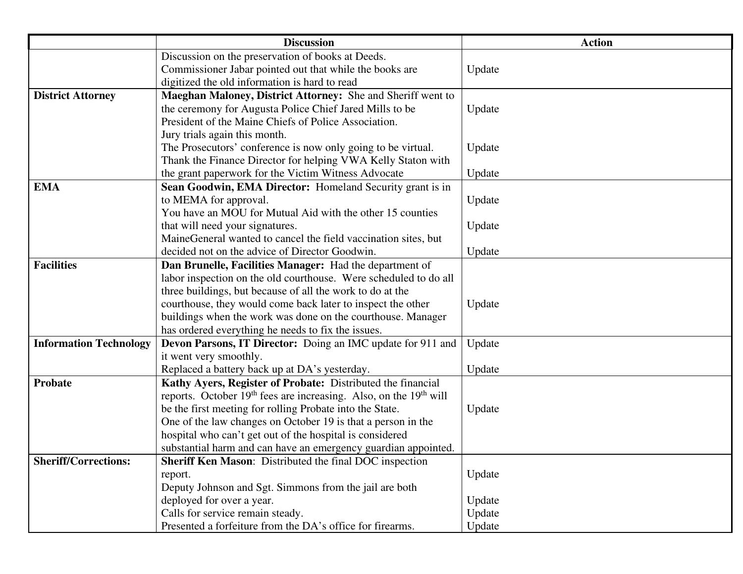|                               | <b>Discussion</b>                                                                         | <b>Action</b> |
|-------------------------------|-------------------------------------------------------------------------------------------|---------------|
|                               | Discussion on the preservation of books at Deeds.                                         |               |
|                               | Commissioner Jabar pointed out that while the books are                                   | Update        |
|                               | digitized the old information is hard to read                                             |               |
| <b>District Attorney</b>      | Maeghan Maloney, District Attorney: She and Sheriff went to                               |               |
|                               | the ceremony for Augusta Police Chief Jared Mills to be                                   | Update        |
|                               | President of the Maine Chiefs of Police Association.                                      |               |
|                               | Jury trials again this month.                                                             |               |
|                               | The Prosecutors' conference is now only going to be virtual.                              | Update        |
|                               | Thank the Finance Director for helping VWA Kelly Staton with                              |               |
|                               | the grant paperwork for the Victim Witness Advocate                                       | Update        |
| <b>EMA</b>                    | Sean Goodwin, EMA Director: Homeland Security grant is in                                 |               |
|                               | to MEMA for approval.                                                                     | Update        |
|                               | You have an MOU for Mutual Aid with the other 15 counties                                 |               |
|                               | that will need your signatures.                                                           | Update        |
|                               | MaineGeneral wanted to cancel the field vaccination sites, but                            |               |
|                               | decided not on the advice of Director Goodwin.                                            | Update        |
| <b>Facilities</b>             | Dan Brunelle, Facilities Manager: Had the department of                                   |               |
|                               | labor inspection on the old courthouse. Were scheduled to do all                          |               |
|                               | three buildings, but because of all the work to do at the                                 |               |
|                               | courthouse, they would come back later to inspect the other                               | Update        |
|                               | buildings when the work was done on the courthouse. Manager                               |               |
|                               | has ordered everything he needs to fix the issues.                                        |               |
| <b>Information Technology</b> | Devon Parsons, IT Director: Doing an IMC update for 911 and                               | Update        |
|                               | it went very smoothly.                                                                    |               |
|                               | Replaced a battery back up at DA's yesterday.                                             | Update        |
| Probate                       | Kathy Ayers, Register of Probate: Distributed the financial                               |               |
|                               | reports. October 19 <sup>th</sup> fees are increasing. Also, on the 19 <sup>th</sup> will |               |
|                               | be the first meeting for rolling Probate into the State.                                  | Update        |
|                               | One of the law changes on October 19 is that a person in the                              |               |
|                               | hospital who can't get out of the hospital is considered                                  |               |
|                               | substantial harm and can have an emergency guardian appointed.                            |               |
| <b>Sheriff/Corrections:</b>   | Sheriff Ken Mason: Distributed the final DOC inspection                                   |               |
|                               | report.                                                                                   | Update        |
|                               | Deputy Johnson and Sgt. Simmons from the jail are both                                    |               |
|                               | deployed for over a year.                                                                 | Update        |
|                               | Calls for service remain steady.                                                          | Update        |
|                               | Presented a forfeiture from the DA's office for firearms.                                 | Update        |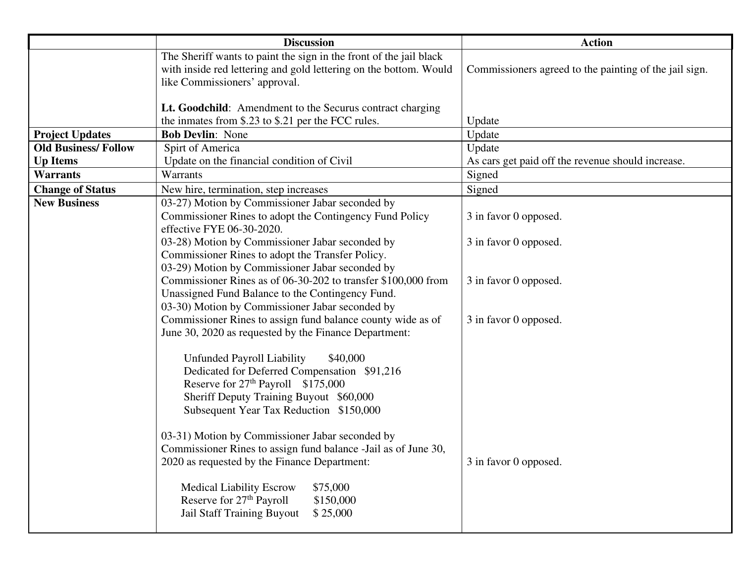|                            | <b>Discussion</b>                                                                                                                                                                                                              | <b>Action</b>                                          |
|----------------------------|--------------------------------------------------------------------------------------------------------------------------------------------------------------------------------------------------------------------------------|--------------------------------------------------------|
|                            | The Sheriff wants to paint the sign in the front of the jail black<br>with inside red lettering and gold lettering on the bottom. Would<br>like Commissioners' approval.                                                       | Commissioners agreed to the painting of the jail sign. |
|                            | Lt. Goodchild: Amendment to the Securus contract charging<br>the inmates from \$.23 to \$.21 per the FCC rules.                                                                                                                | Update                                                 |
| <b>Project Updates</b>     | <b>Bob Devlin: None</b>                                                                                                                                                                                                        | Update                                                 |
| <b>Old Business/Follow</b> | Spirt of America                                                                                                                                                                                                               | Update                                                 |
| <b>Up Items</b>            | Update on the financial condition of Civil                                                                                                                                                                                     | As cars get paid off the revenue should increase.      |
| <b>Warrants</b>            | Warrants                                                                                                                                                                                                                       | Signed                                                 |
| <b>Change of Status</b>    | New hire, termination, step increases                                                                                                                                                                                          | Signed                                                 |
| <b>New Business</b>        | 03-27) Motion by Commissioner Jabar seconded by<br>Commissioner Rines to adopt the Contingency Fund Policy<br>effective FYE 06-30-2020.                                                                                        | 3 in favor 0 opposed.                                  |
|                            | 03-28) Motion by Commissioner Jabar seconded by<br>Commissioner Rines to adopt the Transfer Policy.<br>03-29) Motion by Commissioner Jabar seconded by                                                                         | 3 in favor 0 opposed.                                  |
|                            | Commissioner Rines as of 06-30-202 to transfer \$100,000 from<br>Unassigned Fund Balance to the Contingency Fund.<br>03-30) Motion by Commissioner Jabar seconded by                                                           | 3 in favor 0 opposed.                                  |
|                            | Commissioner Rines to assign fund balance county wide as of<br>June 30, 2020 as requested by the Finance Department:                                                                                                           | 3 in favor 0 opposed.                                  |
|                            | Unfunded Payroll Liability<br>\$40,000<br>Dedicated for Deferred Compensation \$91,216<br>Reserve for 27 <sup>th</sup> Payroll \$175,000<br>Sheriff Deputy Training Buyout \$60,000<br>Subsequent Year Tax Reduction \$150,000 |                                                        |
|                            | 03-31) Motion by Commissioner Jabar seconded by<br>Commissioner Rines to assign fund balance -Jail as of June 30,<br>2020 as requested by the Finance Department:                                                              | 3 in favor 0 opposed.                                  |
|                            | <b>Medical Liability Escrow</b><br>\$75,000<br>Reserve for 27 <sup>th</sup> Payroll<br>\$150,000<br>Jail Staff Training Buyout<br>\$25,000                                                                                     |                                                        |